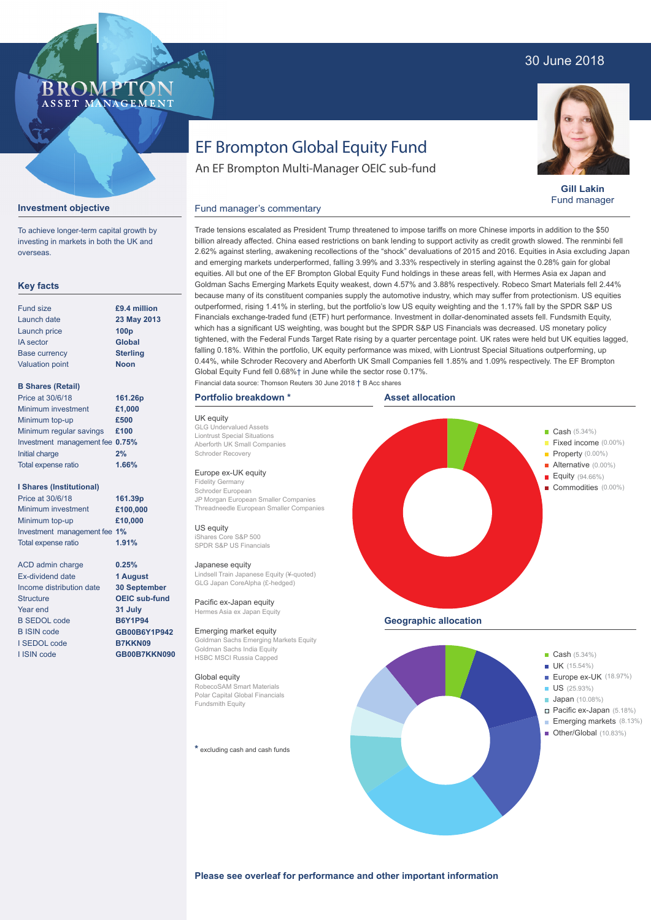## 30 June 2018

### **BROMP** ASSET MANAGEMENT

**Gill Lakin** Fund manager

#### **Investment objective**

**Key facts**

B SEDOL code B ISIN code I SEDOL code I ISIN code

To achieve longer-term capital growth by investing in markets in both the UK and overseas.

#### Fund size Launch date Launch price IA sector Base currency Valuation point **B Shares (Retail)** Minimum investment Minimum top-up Minimum regular savings **£100** Investment management fee **0.75%** Initial charge Total expense ratio **I Shares (Institutional)** Minimum investment Minimum top-up Investment management fee **1%** Total expense ratio ACD admin charge Ex-dividend date Income distribution date Structure Year end **23 May 2013 100p Global Sterling Noon £1,000 £500 2% £100,000 £10,000 0.25% 1 August £9.4 million** Price at 30/6/18 Price at 30/6/18 **161.26p 161.39p 1.66% 1.91%**

**30 September OEIC sub-fund 31 July B6Y1P94 GB00B6Y1P942 B7KKN09 GB00B7KKN090**

# EF Brompton Global Equity Fund

An EF Brompton Multi-Manager OEIC sub-fund

#### Fund manager's commentary

Trade tensions escalated as President Trump threatened to impose tariffs on more Chinese imports in addition to the \$50 billion already affected. China eased restrictions on bank lending to support activity as credit growth slowed. The renminbi fell 2.62% against sterling, awakening recollections of the "shock" devaluations of 2015 and 2016. Equities in Asia excluding Japan and emerging markets underperformed, falling 3.99% and 3.33% respectively in sterling against the 0.28% gain for global equities. All but one of the EF Brompton Global Equity Fund holdings in these areas fell, with Hermes Asia ex Japan and Goldman Sachs Emerging Markets Equity weakest, down 4.57% and 3.88% respectively. Robeco Smart Materials fell 2.44% because many of its constituent companies supply the automotive industry, which may suffer from protectionism. US equities outperformed, rising 1.41% in sterling, but the portfolio's low US equity weighting and the 1.17% fall by the SPDR S&P US Financials exchange-traded fund (ETF) hurt performance. Investment in dollar-denominated assets fell. Fundsmith Equity, which has a significant US weighting, was bought but the SPDR S&P US Financials was decreased. US monetary policy tightened, with the Federal Funds Target Rate rising by a quarter percentage point. UK rates were held but UK equities lagged, falling 0.18%. Within the portfolio, UK equity performance was mixed, with Liontrust Special Situations outperforming, up 0.44%, while Schroder Recovery and Aberforth UK Small Companies fell 1.85% and 1.09% respectively. The EF Brompton Global Equity Fund fell 0.68%† in June while the sector rose 0.17%. Financial data source: Thomson Reuters 30 June 2018 † B Acc shares

#### **Portfolio breakdown \***

UK equity GLG Undervalued Assets Liontrust Special Situations Aberforth UK Small Companies Schroder Recovery Europe ex-UK equity Fidelity Germany Schroder European JP Morgan European Smaller Companies Threadneedle European Smaller Companies US equity iShares Core S&P 500 SPDR S&P US Financials Japanese equity Lindsell Train Japanese Equity (¥-quoted) GLG Japan CoreAlpha (£-hedged) Pacific ex-Japan equity Hermes Asia ex Japan Equity Emerging market equity Goldman Sachs Emerging Markets Equity Goldman Sachs India Equity HSBC MSCI Russia Capped Global equity RobecoSAM Smart Materials Polar Capital Global Financials Fundsmith Equity **\*** excluding cash and cash funds **Example 2018** Cash (5.34%) Fixed income (0.00%) **Property** (0.00%) Alternative (0.00%) Equity (94.66%) Commodities (0.00%) **Example 2018** Cash (5.34%) **UK** (15.54%) Europe ex-UK (18.97%)  $\blacksquare$  US (25.93%) **Japan** (10.08%) Pacific ex-Japan (5.18%) Emerging markets (8.13%) Other/Global (10.83%) **Asset allocation Geographic allocation** í

**Please see overleaf for performance and other important information**